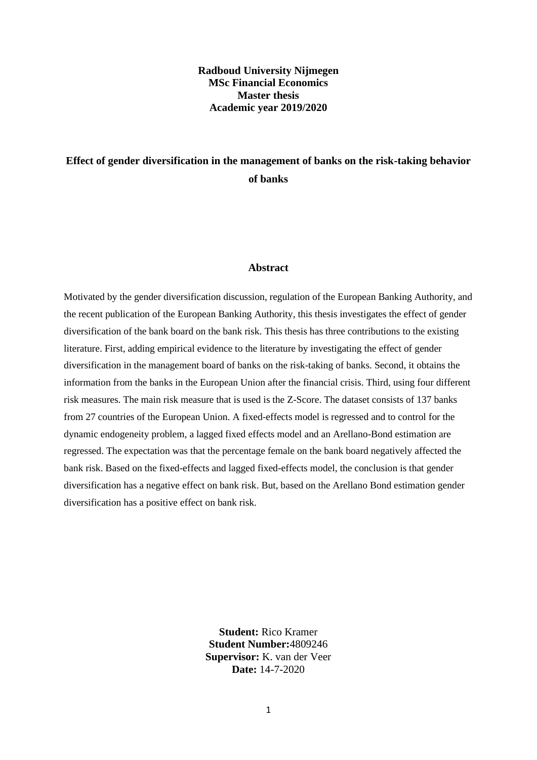# **Radboud University Nijmegen MSc Financial Economics Master thesis Academic year 2019/2020**

# **Effect of gender diversification in the management of banks on the risk-taking behavior of banks**

#### **Abstract**

Motivated by the gender diversification discussion, regulation of the European Banking Authority, and the recent publication of the European Banking Authority, this thesis investigates the effect of gender diversification of the bank board on the bank risk. This thesis has three contributions to the existing literature. First, adding empirical evidence to the literature by investigating the effect of gender diversification in the management board of banks on the risk-taking of banks. Second, it obtains the information from the banks in the European Union after the financial crisis. Third, using four different risk measures. The main risk measure that is used is the Z-Score. The dataset consists of 137 banks from 27 countries of the European Union. A fixed-effects model is regressed and to control for the dynamic endogeneity problem, a lagged fixed effects model and an Arellano-Bond estimation are regressed. The expectation was that the percentage female on the bank board negatively affected the bank risk. Based on the fixed-effects and lagged fixed-effects model, the conclusion is that gender diversification has a negative effect on bank risk. But, based on the Arellano Bond estimation gender diversification has a positive effect on bank risk.

> **Student:** Rico Kramer **Student Number:**4809246 **Supervisor:** K. van der Veer **Date:** 14-7-2020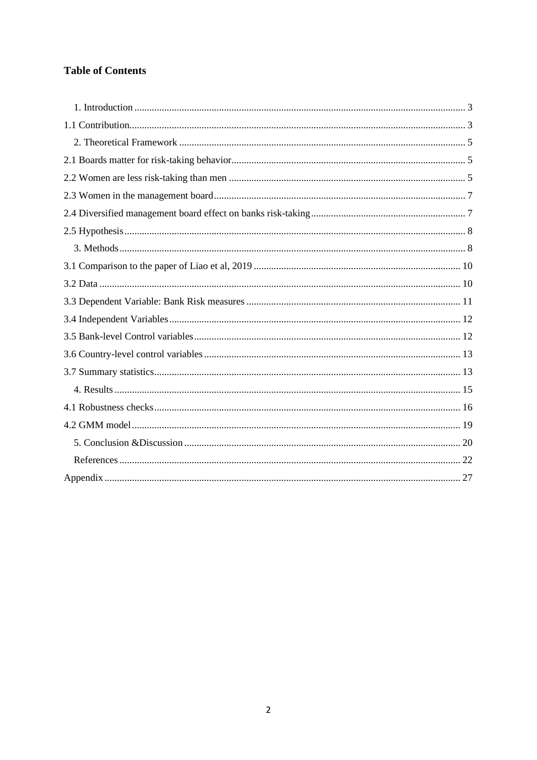# **Table of Contents**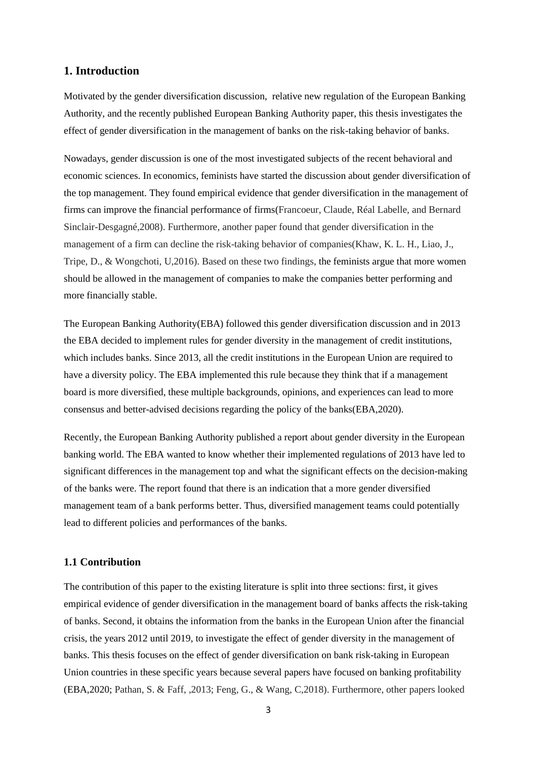# <span id="page-2-0"></span>**1. Introduction**

Motivated by the gender diversification discussion, relative new regulation of the European Banking Authority, and the recently published European Banking Authority paper, this thesis investigates the effect of gender diversification in the management of banks on the risk-taking behavior of banks.

Nowadays, gender discussion is one of the most investigated subjects of the recent behavioral and economic sciences. In economics, feminists have started the discussion about gender diversification of the top management. They found empirical evidence that gender diversification in the management of firms can improve the financial performance of firms(Francoeur, Claude, Réal Labelle, and Bernard Sinclair-Desgagné,2008). Furthermore, another paper found that gender diversification in the management of a firm can decline the risk-taking behavior of companies(Khaw, K. L. H., Liao, J., Tripe, D., & Wongchoti, U,2016). Based on these two findings, the feminists argue that more women should be allowed in the management of companies to make the companies better performing and more financially stable.

The European Banking Authority(EBA) followed this gender diversification discussion and in 2013 the EBA decided to implement rules for gender diversity in the management of credit institutions, which includes banks. Since 2013, all the credit institutions in the European Union are required to have a diversity policy. The EBA implemented this rule because they think that if a management board is more diversified, these multiple backgrounds, opinions, and experiences can lead to more consensus and better-advised decisions regarding the policy of the banks(EBA,2020).

Recently, the European Banking Authority published a report about gender diversity in the European banking world. The EBA wanted to know whether their implemented regulations of 2013 have led to significant differences in the management top and what the significant effects on the decision-making of the banks were. The report found that there is an indication that a more gender diversified management team of a bank performs better. Thus, diversified management teams could potentially lead to different policies and performances of the banks.

# <span id="page-2-1"></span>**1.1 Contribution**

The contribution of this paper to the existing literature is split into three sections: first, it gives empirical evidence of gender diversification in the management board of banks affects the risk-taking of banks. Second, it obtains the information from the banks in the European Union after the financial crisis, the years 2012 until 2019, to investigate the effect of gender diversity in the management of banks. This thesis focuses on the effect of gender diversification on bank risk-taking in European Union countries in these specific years because several papers have focused on banking profitability (EBA,2020; Pathan, S. & Faff, ,2013; Feng, G., & Wang, C,2018). Furthermore, other papers looked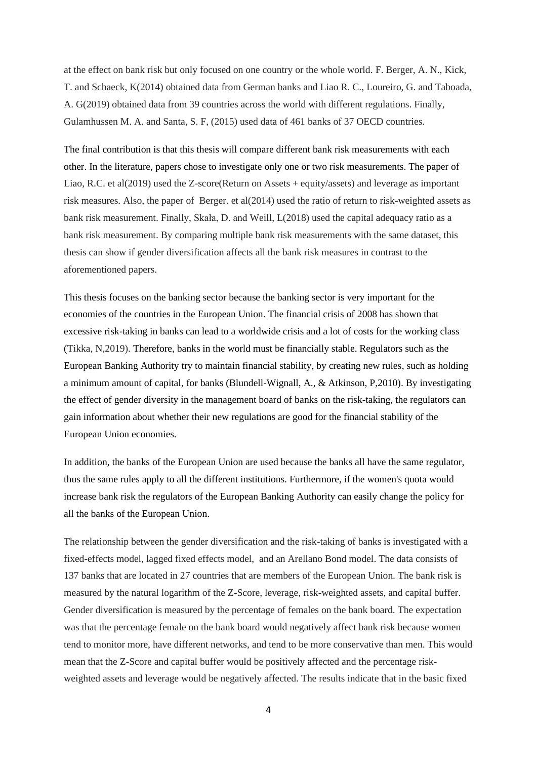at the effect on bank risk but only focused on one country or the whole world. F. Berger, A. N., Kick, T. and Schaeck, K(2014) obtained data from German banks and Liao R. C., Loureiro, G. and Taboada, A. G(2019) obtained data from 39 countries across the world with different regulations. Finally, Gulamhussen M. A. and Santa, S. F, (2015) used data of 461 banks of 37 OECD countries.

The final contribution is that this thesis will compare different bank risk measurements with each other. In the literature, papers chose to investigate only one or two risk measurements. The paper of Liao, R.C. et al(2019) used the Z-score(Return on Assets + equity/assets) and leverage as important risk measures. Also, the paper of Berger. et al(2014) used the ratio of return to risk-weighted assets as bank risk measurement. Finally, Skała, D. and Weill, L(2018) used the capital adequacy ratio as a bank risk measurement. By comparing multiple bank risk measurements with the same dataset, this thesis can show if gender diversification affects all the bank risk measures in contrast to the aforementioned papers.

This thesis focuses on the banking sector because the banking sector is very important for the economies of the countries in the European Union. The financial crisis of 2008 has shown that excessive risk-taking in banks can lead to a worldwide crisis and a lot of costs for the working class (Tikka, N,2019). Therefore, banks in the world must be financially stable. Regulators such as the European Banking Authority try to maintain financial stability, by creating new rules, such as holding a minimum amount of capital, for banks (Blundell-Wignall, A., & Atkinson, P,2010). By investigating the effect of gender diversity in the management board of banks on the risk-taking, the regulators can gain information about whether their new regulations are good for the financial stability of the European Union economies.

In addition, the banks of the European Union are used because the banks all have the same regulator, thus the same rules apply to all the different institutions. Furthermore, if the women's quota would increase bank risk the regulators of the European Banking Authority can easily change the policy for all the banks of the European Union.

The relationship between the gender diversification and the risk-taking of banks is investigated with a fixed-effects model, lagged fixed effects model, and an Arellano Bond model. The data consists of 137 banks that are located in 27 countries that are members of the European Union. The bank risk is measured by the natural logarithm of the Z-Score, leverage, risk-weighted assets, and capital buffer. Gender diversification is measured by the percentage of females on the bank board. The expectation was that the percentage female on the bank board would negatively affect bank risk because women tend to monitor more, have different networks, and tend to be more conservative than men. This would mean that the Z-Score and capital buffer would be positively affected and the percentage riskweighted assets and leverage would be negatively affected. The results indicate that in the basic fixed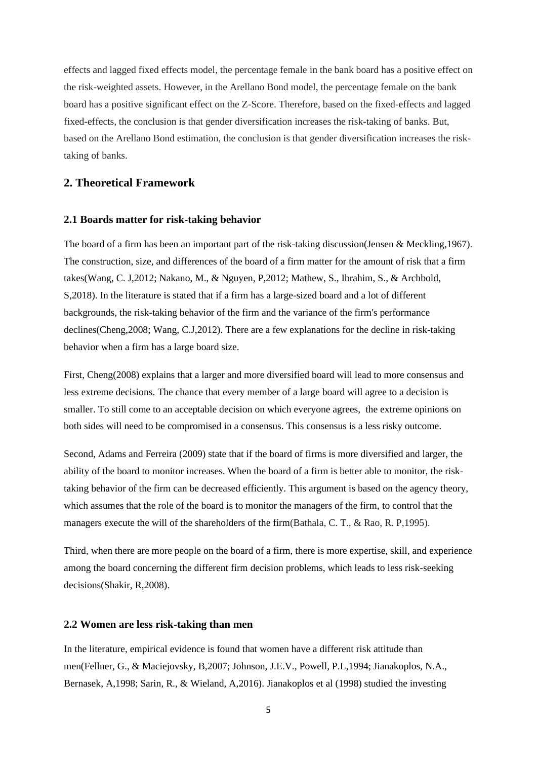effects and lagged fixed effects model, the percentage female in the bank board has a positive effect on the risk-weighted assets. However, in the Arellano Bond model, the percentage female on the bank board has a positive significant effect on the Z-Score. Therefore, based on the fixed-effects and lagged fixed-effects, the conclusion is that gender diversification increases the risk-taking of banks. But, based on the Arellano Bond estimation, the conclusion is that gender diversification increases the risktaking of banks.

# <span id="page-4-1"></span><span id="page-4-0"></span>**2. Theoretical Framework**

#### **2.1 Boards matter for risk-taking behavior**

The board of a firm has been an important part of the risk-taking discussion(Jensen & Meckling,1967). The construction, size, and differences of the board of a firm matter for the amount of risk that a firm takes(Wang, C. J,2012; Nakano, M., & Nguyen, P,2012; Mathew, S., Ibrahim, S., & Archbold, S,2018). In the literature is stated that if a firm has a large-sized board and a lot of different backgrounds, the risk-taking behavior of the firm and the variance of the firm's performance declines(Cheng,2008; Wang, C.J,2012). There are a few explanations for the decline in risk-taking behavior when a firm has a large board size.

First, Cheng(2008) explains that a larger and more diversified board will lead to more consensus and less extreme decisions. The chance that every member of a large board will agree to a decision is smaller. To still come to an acceptable decision on which everyone agrees, the extreme opinions on both sides will need to be compromised in a consensus. This consensus is a less risky outcome.

Second, Adams and Ferreira (2009) state that if the board of firms is more diversified and larger, the ability of the board to monitor increases. When the board of a firm is better able to monitor, the risktaking behavior of the firm can be decreased efficiently. This argument is based on the agency theory, which assumes that the role of the board is to monitor the managers of the firm, to control that the managers execute the will of the shareholders of the firm(Bathala, C. T., & Rao, R. P,1995).

Third, when there are more people on the board of a firm, there is more expertise, skill, and experience among the board concerning the different firm decision problems, which leads to less risk-seeking decisions(Shakir, R,2008).

### <span id="page-4-2"></span>**2.2 Women are less risk-taking than men**

In the literature, empirical evidence is found that women have a different risk attitude than men(Fellner, G., & Maciejovsky, B,2007; Johnson, J.E.V., Powell, P.L,1994; Jianakoplos, N.A., Bernasek, A,1998; Sarin, R., & Wieland, A,2016). Jianakoplos et al (1998) studied the investing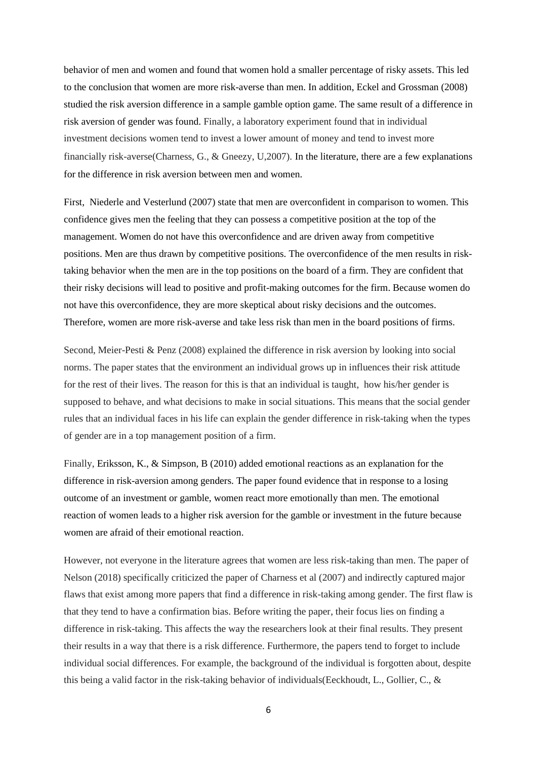behavior of men and women and found that women hold a smaller percentage of risky assets. This led to the conclusion that women are more risk-averse than men. In addition, Eckel and Grossman (2008) studied the risk aversion difference in a sample gamble option game. The same result of a difference in risk aversion of gender was found. Finally, a laboratory experiment found that in individual investment decisions women tend to invest a lower amount of money and tend to invest more financially risk-averse(Charness, G., & Gneezy, U,2007). In the literature, there are a few explanations for the difference in risk aversion between men and women.

First, Niederle and Vesterlund (2007) state that men are overconfident in comparison to women. This confidence gives men the feeling that they can possess a competitive position at the top of the management. Women do not have this overconfidence and are driven away from competitive positions. Men are thus drawn by competitive positions. The overconfidence of the men results in risktaking behavior when the men are in the top positions on the board of a firm. They are confident that their risky decisions will lead to positive and profit-making outcomes for the firm. Because women do not have this overconfidence, they are more skeptical about risky decisions and the outcomes. Therefore, women are more risk-averse and take less risk than men in the board positions of firms.

Second, Meier-Pesti & Penz (2008) explained the difference in risk aversion by looking into social norms. The paper states that the environment an individual grows up in influences their risk attitude for the rest of their lives. The reason for this is that an individual is taught, how his/her gender is supposed to behave, and what decisions to make in social situations. This means that the social gender rules that an individual faces in his life can explain the gender difference in risk-taking when the types of gender are in a top management position of a firm.

Finally, Eriksson, K., & Simpson, B (2010) added emotional reactions as an explanation for the difference in risk-aversion among genders. The paper found evidence that in response to a losing outcome of an investment or gamble, women react more emotionally than men. The emotional reaction of women leads to a higher risk aversion for the gamble or investment in the future because women are afraid of their emotional reaction.

However, not everyone in the literature agrees that women are less risk-taking than men. The paper of Nelson (2018) specifically criticized the paper of Charness et al (2007) and indirectly captured major flaws that exist among more papers that find a difference in risk-taking among gender. The first flaw is that they tend to have a confirmation bias. Before writing the paper, their focus lies on finding a difference in risk-taking. This affects the way the researchers look at their final results. They present their results in a way that there is a risk difference. Furthermore, the papers tend to forget to include individual social differences. For example, the background of the individual is forgotten about, despite this being a valid factor in the risk-taking behavior of individuals(Eeckhoudt, L., Gollier, C., &

6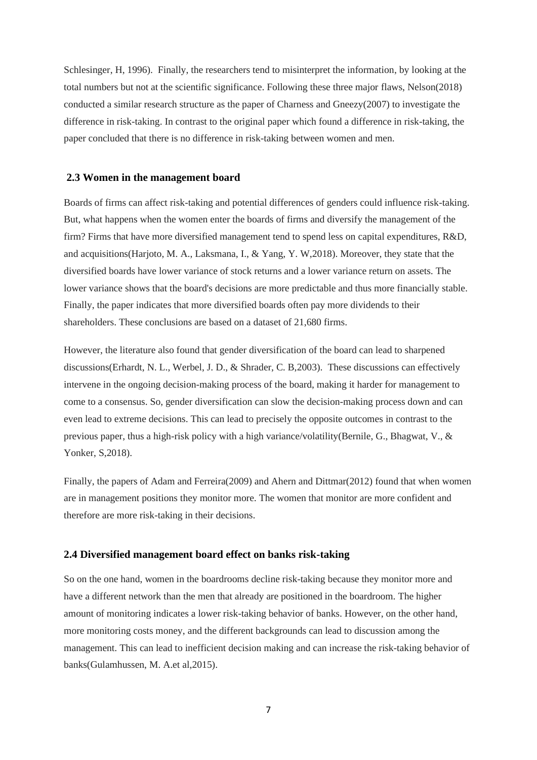Schlesinger, H, 1996). Finally, the researchers tend to misinterpret the information, by looking at the total numbers but not at the scientific significance. Following these three major flaws, Nelson(2018) conducted a similar research structure as the paper of Charness and Gneezy(2007) to investigate the difference in risk-taking. In contrast to the original paper which found a difference in risk-taking, the paper concluded that there is no difference in risk-taking between women and men.

## <span id="page-6-0"></span>**2.3 Women in the management board**

Boards of firms can affect risk-taking and potential differences of genders could influence risk-taking. But, what happens when the women enter the boards of firms and diversify the management of the firm? Firms that have more diversified management tend to spend less on capital expenditures, R&D, and acquisitions(Harjoto, M. A., Laksmana, I., & Yang, Y. W,2018). Moreover, they state that the diversified boards have lower variance of stock returns and a lower variance return on assets. The lower variance shows that the board's decisions are more predictable and thus more financially stable. Finally, the paper indicates that more diversified boards often pay more dividends to their shareholders. These conclusions are based on a dataset of 21,680 firms.

However, the literature also found that gender diversification of the board can lead to sharpened discussions(Erhardt, N. L., Werbel, J. D., & Shrader, C. B,2003). These discussions can effectively intervene in the ongoing decision-making process of the board, making it harder for management to come to a consensus. So, gender diversification can slow the decision-making process down and can even lead to extreme decisions. This can lead to precisely the opposite outcomes in contrast to the previous paper, thus a high-risk policy with a high variance/volatility(Bernile, G., Bhagwat, V., & Yonker, S,2018).

Finally, the papers of Adam and Ferreira(2009) and Ahern and Dittmar(2012) found that when women are in management positions they monitor more. The women that monitor are more confident and therefore are more risk-taking in their decisions.

#### <span id="page-6-1"></span>**2.4 Diversified management board effect on banks risk-taking**

So on the one hand, women in the boardrooms decline risk-taking because they monitor more and have a different network than the men that already are positioned in the boardroom. The higher amount of monitoring indicates a lower risk-taking behavior of banks. However, on the other hand, more monitoring costs money, and the different backgrounds can lead to discussion among the management. This can lead to inefficient decision making and can increase the risk-taking behavior of banks(Gulamhussen, M. A.et al,2015).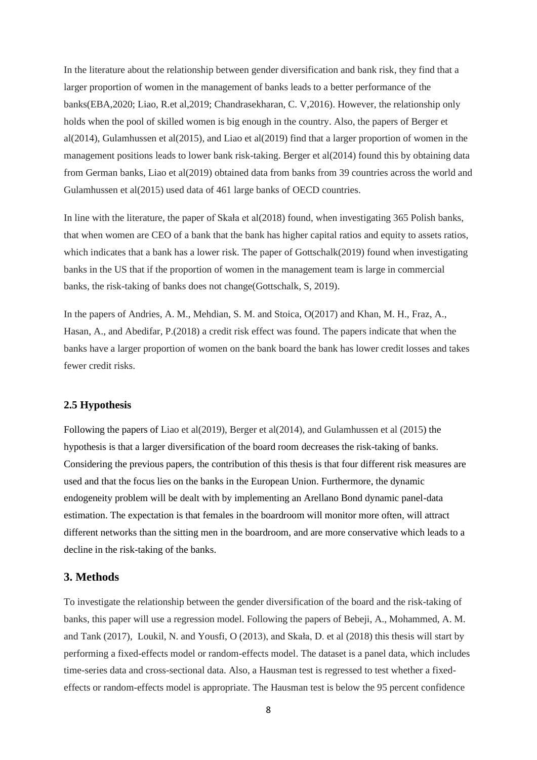In the literature about the relationship between gender diversification and bank risk, they find that a larger proportion of women in the management of banks leads to a better performance of the banks(EBA,2020; Liao, R.et al,2019; Chandrasekharan, C. V,2016). However, the relationship only holds when the pool of skilled women is big enough in the country. Also, the papers of Berger et al(2014), Gulamhussen et al(2015), and Liao et al(2019) find that a larger proportion of women in the management positions leads to lower bank risk-taking. Berger et al(2014) found this by obtaining data from German banks, Liao et al(2019) obtained data from banks from 39 countries across the world and Gulamhussen et al(2015) used data of 461 large banks of OECD countries.

In line with the literature, the paper of Skała et al(2018) found, when investigating 365 Polish banks, that when women are CEO of a bank that the bank has higher capital ratios and equity to assets ratios, which indicates that a bank has a lower risk. The paper of Gottschalk(2019) found when investigating banks in the US that if the proportion of women in the management team is large in commercial banks, the risk-taking of banks does not change(Gottschalk, S, 2019).

In the papers of Andries, A. M., Mehdian, S. M. and Stoica, O(2017) and Khan, M. H., Fraz, A., Hasan, A., and Abedifar, P.(2018) a credit risk effect was found. The papers indicate that when the banks have a larger proportion of women on the bank board the bank has lower credit losses and takes fewer credit risks.

#### <span id="page-7-0"></span>**2.5 Hypothesis**

Following the papers of Liao et al(2019), Berger et al(2014), and Gulamhussen et al (2015) the hypothesis is that a larger diversification of the board room decreases the risk-taking of banks. Considering the previous papers, the contribution of this thesis is that four different risk measures are used and that the focus lies on the banks in the European Union. Furthermore, the dynamic endogeneity problem will be dealt with by implementing an Arellano Bond dynamic panel-data estimation. The expectation is that females in the boardroom will monitor more often, will attract different networks than the sitting men in the boardroom, and are more conservative which leads to a decline in the risk-taking of the banks.

# <span id="page-7-1"></span>**3. Methods**

To investigate the relationship between the gender diversification of the board and the risk-taking of banks, this paper will use a regression model. Following the papers of Bebeji, A., Mohammed, A. M. and Tank (2017), Loukil, N. and Yousfi, O (2013), and Skała, D. et al (2018) this thesis will start by performing a fixed-effects model or random-effects model. The dataset is a panel data, which includes time-series data and cross-sectional data. Also, a Hausman test is regressed to test whether a fixedeffects or random-effects model is appropriate. The Hausman test is below the 95 percent confidence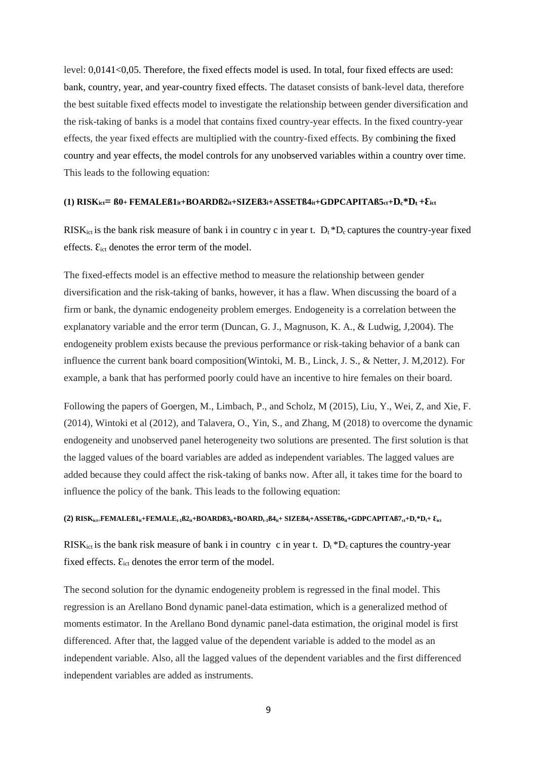level: 0,0141<0,05. Therefore, the fixed effects model is used. In total, four fixed effects are used: bank, country, year, and year-country fixed effects. The dataset consists of bank-level data, therefore the best suitable fixed effects model to investigate the relationship between gender diversification and the risk-taking of banks is a model that contains fixed country-year effects. In the fixed country-year effects, the year fixed effects are multiplied with the country-fixed effects. By combining the fixed country and year effects, the model controls for any unobserved variables within a country over time. This leads to the following equation:

# (1) RISK<sub>ict</sub>=  $B0$ + FEMALE $B1$ <sub>it</sub>+BOARD $B2$ <sub>it</sub>+SIZE $B3$ <sub>i</sub>+ASSET $B4$ <sub>it</sub>+GDPCAPITA $B5$ <sub>ct</sub>+D<sub>c</sub>\*D<sub>t</sub>+E<sub>ict</sub>

RISK<sub>ict</sub> is the bank risk measure of bank i in country c in year t.  $D_t * D_c$  captures the country-year fixed effects.  $\mathcal{E}_{\text{ict}}$  denotes the error term of the model.

The fixed-effects model is an effective method to measure the relationship between gender diversification and the risk-taking of banks, however, it has a flaw. When discussing the board of a firm or bank, the dynamic endogeneity problem emerges. Endogeneity is a correlation between the explanatory variable and the error term (Duncan, G. J., Magnuson, K. A., & Ludwig, J,2004). The endogeneity problem exists because the previous performance or risk-taking behavior of a bank can influence the current bank board composition(Wintoki, M. B., Linck, J. S., & Netter, J. M,2012). For example, a bank that has performed poorly could have an incentive to hire females on their board.

Following the papers of Goergen, M., Limbach, P., and Scholz, M (2015), Liu, Y., Wei, Z, and Xie, F. (2014), Wintoki et al (2012), and Talavera, O., Yin, S., and Zhang, M (2018) to overcome the dynamic endogeneity and unobserved panel heterogeneity two solutions are presented. The first solution is that the lagged values of the board variables are added as independent variables. The lagged values are added because they could affect the risk-taking of banks now. After all, it takes time for the board to influence the policy of the bank. This leads to the following equation:

### (2)  $RISK_{ict}$ = $FEMALEB1_{it}$ + $FEMALE_{t-1}B2_{it}$ + $BOARDB3_{it}$ + $BOARD_{t-1}BA_{it}$ +  $SIZEB4_{it}$ + $ASSETB6_{it}$ + $GDPCAPITAB7_{ct}+D_c*D_t+E_{ict}$

RISK<sub>ict</sub> is the bank risk measure of bank i in country c in year t.  $D_t * D_c$  captures the country-year fixed effects.  $E_{ict}$  denotes the error term of the model.

The second solution for the dynamic endogeneity problem is regressed in the final model. This regression is an Arellano Bond dynamic panel-data estimation, which is a generalized method of moments estimator. In the Arellano Bond dynamic panel-data estimation, the original model is first differenced. After that, the lagged value of the dependent variable is added to the model as an independent variable. Also, all the lagged values of the dependent variables and the first differenced independent variables are added as instruments.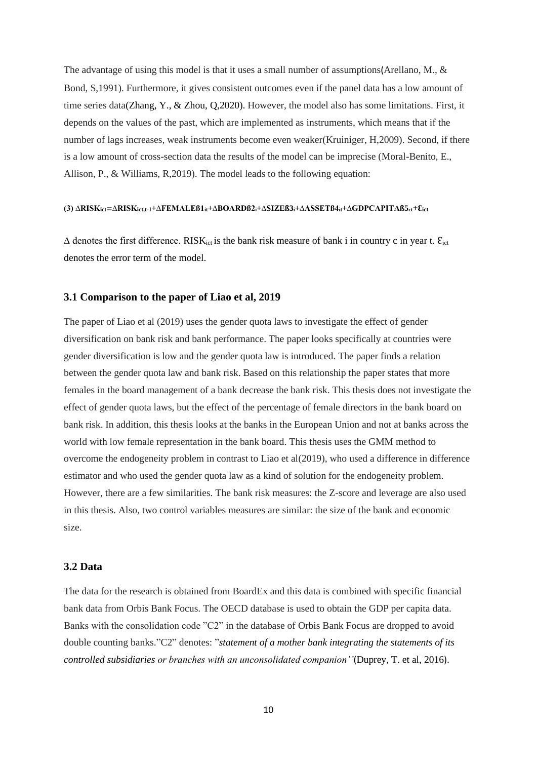The advantage of using this model is that it uses a small number of assumptions (Arellano, M., & Bond, S,1991). Furthermore, it gives consistent outcomes even if the panel data has a low amount of time series data(Zhang, Y., & Zhou, Q,2020). However, the model also has some limitations. First, it depends on the values of the past, which are implemented as instruments, which means that if the number of lags increases, weak instruments become even weaker(Kruiniger, H,2009). Second, if there is a low amount of cross-section data the results of the model can be imprecise (Moral-Benito, E., Allison, P., & Williams, R,2019). The model leads to the following equation:

## **(3) ∆RISKict=∆RISKict,t-1+∆FEMALEß1it+∆BOARDß2i+∆SIZEß3i+∆ASSETß4it+∆GDPCAPITAß5ct+Ɛict**

 $\Delta$  denotes the first difference. RISK<sub>ict</sub> is the bank risk measure of bank i in country c in year t.  $\mathcal{E}_{\text{ict}}$ denotes the error term of the model.

## <span id="page-9-0"></span>**3.1 Comparison to the paper of Liao et al, 2019**

The paper of Liao et al (2019) uses the gender quota laws to investigate the effect of gender diversification on bank risk and bank performance. The paper looks specifically at countries were gender diversification is low and the gender quota law is introduced. The paper finds a relation between the gender quota law and bank risk. Based on this relationship the paper states that more females in the board management of a bank decrease the bank risk. This thesis does not investigate the effect of gender quota laws, but the effect of the percentage of female directors in the bank board on bank risk. In addition, this thesis looks at the banks in the European Union and not at banks across the world with low female representation in the bank board. This thesis uses the GMM method to overcome the endogeneity problem in contrast to Liao et al(2019), who used a difference in difference estimator and who used the gender quota law as a kind of solution for the endogeneity problem. However, there are a few similarities. The bank risk measures: the Z-score and leverage are also used in this thesis. Also, two control variables measures are similar: the size of the bank and economic size.

# <span id="page-9-1"></span>**3.2 Data**

The data for the research is obtained from BoardEx and this data is combined with specific financial bank data from Orbis Bank Focus. The OECD database is used to obtain the GDP per capita data. Banks with the consolidation code "C2" in the database of Orbis Bank Focus are dropped to avoid double counting banks."C2" denotes: "*statement of a mother bank integrating the statements of its controlled subsidiaries or branches with an unconsolidated companion''*(Duprey, T. et al, 2016).

10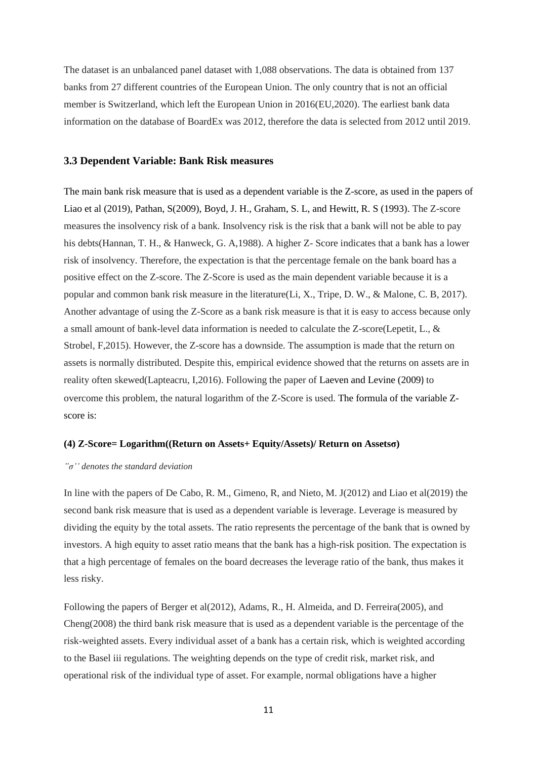The dataset is an unbalanced panel dataset with 1,088 observations. The data is obtained from 137 banks from 27 different countries of the European Union. The only country that is not an official member is Switzerland, which left the European Union in 2016(EU,2020). The earliest bank data information on the database of BoardEx was 2012, therefore the data is selected from 2012 until 2019.

#### <span id="page-10-0"></span>**3.3 Dependent Variable: Bank Risk measures**

The main bank risk measure that is used as a dependent variable is the Z-score, as used in the papers of Liao et al (2019), Pathan, S(2009), Boyd, J. H., Graham, S. L, and Hewitt, R. S (1993). The Z-score measures the insolvency risk of a bank*.* Insolvency risk is the risk that a bank will not be able to pay his debts(Hannan, T. H., & Hanweck, G. A,1988). A higher Z- Score indicates that a bank has a lower risk of insolvency. Therefore, the expectation is that the percentage female on the bank board has a positive effect on the Z-score. The Z-Score is used as the main dependent variable because it is a popular and common bank risk measure in the literature(Li, X., Tripe, D. W., & Malone, C. B, 2017). Another advantage of using the Z-Score as a bank risk measure is that it is easy to access because only a small amount of bank-level data information is needed to calculate the Z-score(Lepetit, L., & Strobel, F,2015). However, the Z-score has a downside. The assumption is made that the return on assets is normally distributed. Despite this, empirical evidence showed that the returns on assets are in reality often skewed(Lapteacru, I,2016). Following the paper of Laeven and Levine (2009) to overcome this problem, the natural logarithm of the Z-Score is used. The formula of the variable Zscore is:

#### **(4) Z-Score= Logarithm((Return on Assets+ Equity/Assets)/ Return on Assetsσ)**

#### *"σ'' denotes the standard deviation*

In line with the papers of De Cabo, R. M., Gimeno, R, and Nieto, M. J $(2012)$  and Liao et al $(2019)$  the second bank risk measure that is used as a dependent variable is leverage. Leverage is measured by dividing the equity by the total assets. The ratio represents the percentage of the bank that is owned by investors. A high equity to asset ratio means that the bank has a high-risk position. The expectation is that a high percentage of females on the board decreases the leverage ratio of the bank, thus makes it less risky.

Following the papers of Berger et al(2012), Adams, R., H. Almeida, and D. Ferreira(2005), and Cheng(2008) the third bank risk measure that is used as a dependent variable is the percentage of the risk-weighted assets. Every individual asset of a bank has a certain risk, which is weighted according to the Basel iii regulations. The weighting depends on the type of credit risk, market risk, and operational risk of the individual type of asset. For example, normal obligations have a higher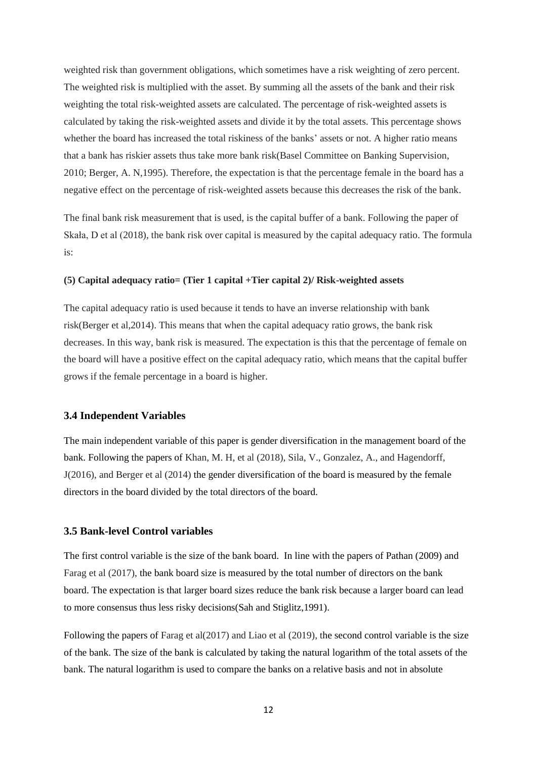weighted risk than government obligations, which sometimes have a risk weighting of zero percent. The weighted risk is multiplied with the asset. By summing all the assets of the bank and their risk weighting the total risk-weighted assets are calculated. The percentage of risk-weighted assets is calculated by taking the risk-weighted assets and divide it by the total assets. This percentage shows whether the board has increased the total riskiness of the banks' assets or not. A higher ratio means that a bank has riskier assets thus take more bank risk(Basel Committee on Banking Supervision, 2010; Berger, A. N,1995). Therefore, the expectation is that the percentage female in the board has a negative effect on the percentage of risk-weighted assets because this decreases the risk of the bank.

The final bank risk measurement that is used, is the capital buffer of a bank. Following the paper of Skała, D et al (2018), the bank risk over capital is measured by the capital adequacy ratio. The formula is:

#### **(5) Capital adequacy ratio= (Tier 1 capital +Tier capital 2)/ Risk-weighted assets**

The capital adequacy ratio is used because it tends to have an inverse relationship with bank risk(Berger et al,2014). This means that when the capital adequacy ratio grows, the bank risk decreases. In this way, bank risk is measured. The expectation is this that the percentage of female on the board will have a positive effect on the capital adequacy ratio, which means that the capital buffer grows if the female percentage in a board is higher.

## <span id="page-11-0"></span>**3.4 Independent Variables**

The main independent variable of this paper is gender diversification in the management board of the bank. Following the papers of Khan, M. H, et al (2018), Sila, V., Gonzalez, A., and Hagendorff, J(2016), and Berger et al (2014) the gender diversification of the board is measured by the female directors in the board divided by the total directors of the board.

# <span id="page-11-1"></span>**3.5 Bank-level Control variables**

The first control variable is the size of the bank board. In line with the papers of Pathan (2009) and Farag et al (2017), the bank board size is measured by the total number of directors on the bank board. The expectation is that larger board sizes reduce the bank risk because a larger board can lead to more consensus thus less risky decisions(Sah and Stiglitz,1991).

Following the papers of Farag et al(2017) and Liao et al (2019), the second control variable is the size of the bank. The size of the bank is calculated by taking the natural logarithm of the total assets of the bank. The natural logarithm is used to compare the banks on a relative basis and not in absolute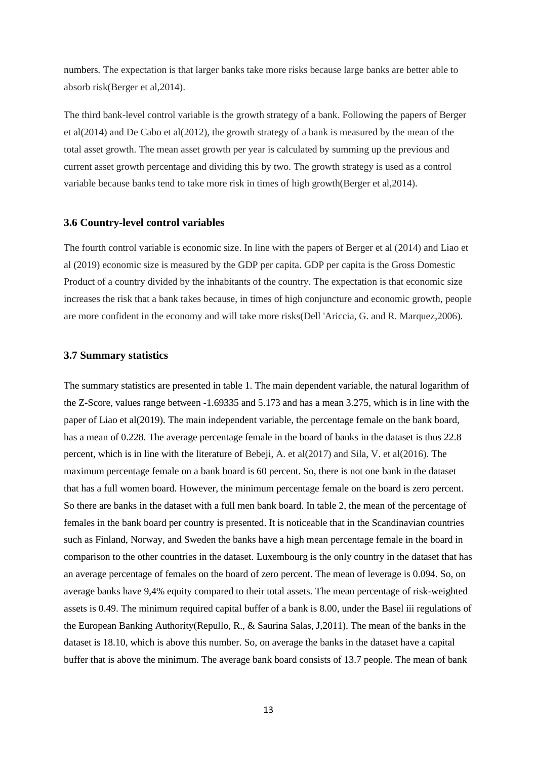numbers*.* The expectation is that larger banks take more risks because large banks are better able to absorb risk(Berger et al,2014).

The third bank-level control variable is the growth strategy of a bank. Following the papers of Berger et al(2014) and De Cabo et al(2012), the growth strategy of a bank is measured by the mean of the total asset growth. The mean asset growth per year is calculated by summing up the previous and current asset growth percentage and dividing this by two. The growth strategy is used as a control variable because banks tend to take more risk in times of high growth(Berger et al,2014).

## <span id="page-12-0"></span>**3.6 Country-level control variables**

The fourth control variable is economic size. In line with the papers of Berger et al (2014) and Liao et al (2019) economic size is measured by the GDP per capita. GDP per capita is the Gross Domestic Product of a country divided by the inhabitants of the country. The expectation is that economic size increases the risk that a bank takes because, in times of high conjuncture and economic growth, people are more confident in the economy and will take more risks(Dell 'Ariccia, G. and R. Marquez,2006).

#### <span id="page-12-1"></span>**3.7 Summary statistics**

The summary statistics are presented in table 1. The main dependent variable, the natural logarithm of the Z-Score, values range between -1.69335 and 5.173 and has a mean 3.275, which is in line with the paper of Liao et al(2019). The main independent variable, the percentage female on the bank board, has a mean of 0.228. The average percentage female in the board of banks in the dataset is thus 22.8 percent, which is in line with the literature of Bebeji, A. et al(2017) and Sila, V. et al(2016). The maximum percentage female on a bank board is 60 percent. So, there is not one bank in the dataset that has a full women board. However, the minimum percentage female on the board is zero percent. So there are banks in the dataset with a full men bank board. In table 2, the mean of the percentage of females in the bank board per country is presented. It is noticeable that in the Scandinavian countries such as Finland, Norway, and Sweden the banks have a high mean percentage female in the board in comparison to the other countries in the dataset. Luxembourg is the only country in the dataset that has an average percentage of females on the board of zero percent. The mean of leverage is 0.094. So, on average banks have 9,4% equity compared to their total assets. The mean percentage of risk-weighted assets is 0.49. The minimum required capital buffer of a bank is 8.00, under the Basel iii regulations of the European Banking Authority(Repullo, R., & Saurina Salas, J,2011). The mean of the banks in the dataset is 18.10, which is above this number. So, on average the banks in the dataset have a capital buffer that is above the minimum. The average bank board consists of 13.7 people. The mean of bank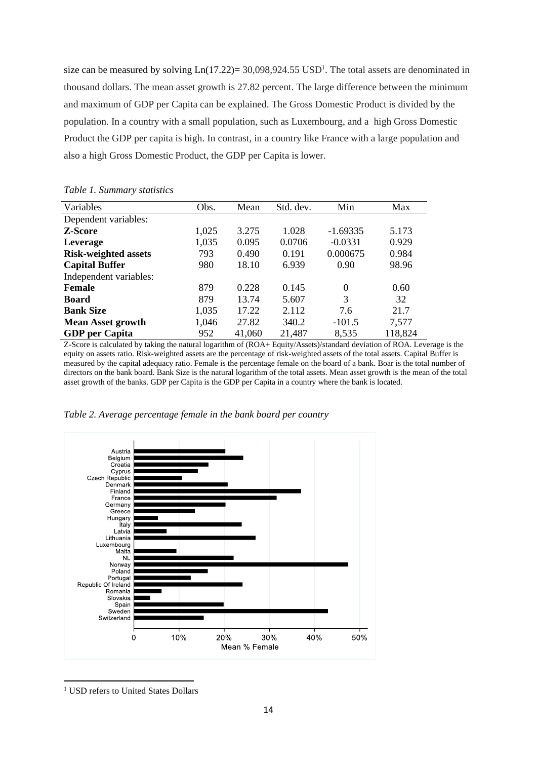size can be measured by solving  $Ln(17.22) = 30,098,924.55$  USD<sup>1</sup>. The total assets are denominated in thousand dollars. The mean asset growth is 27.82 percent. The large difference between the minimum and maximum of GDP per Capita can be explained. The Gross Domestic Product is divided by the population. In a country with a small population, such as Luxembourg, and a high Gross Domestic Product the GDP per capita is high. In contrast, in a country like France with a large population and also a high Gross Domestic Product, the GDP per Capita is lower.

| Variables                   | Obs.  | Mean   | Std. dev. | Min        | Max     |
|-----------------------------|-------|--------|-----------|------------|---------|
| Dependent variables:        |       |        |           |            |         |
| Z-Score                     | 1,025 | 3.275  | 1.028     | $-1.69335$ | 5.173   |
| Leverage                    | 1,035 | 0.095  | 0.0706    | $-0.0331$  | 0.929   |
| <b>Risk-weighted assets</b> | 793   | 0.490  | 0.191     | 0.000675   | 0.984   |
| <b>Capital Buffer</b>       | 980   | 18.10  | 6.939     | 0.90       | 98.96   |
| Independent variables:      |       |        |           |            |         |
| <b>Female</b>               | 879   | 0.228  | 0.145     | $\Omega$   | 0.60    |
| <b>Board</b>                | 879   | 13.74  | 5.607     | 3          | 32      |
| <b>Bank Size</b>            | 1,035 | 17.22  | 2.112     | 7.6        | 21.7    |
| <b>Mean Asset growth</b>    | 1,046 | 27.82  | 340.2     | $-101.5$   | 7,577   |
| <b>GDP</b> per Capita       | 952   | 41,060 | 21,487    | 8,535      | 118,824 |

*Table 1. Summary statistics*

Z-Score is calculated by taking the natural logarithm of (ROA+ Equity/Assets)/standard deviation of ROA. Leverage is the equity on assets ratio. Risk-weighted assets are the percentage of risk-weighted assets of the total assets. Capital Buffer is measured by the capital adequacy ratio. Female is the percentage female on the board of a bank. Boar is the total number of directors on the bank board. Bank Size is the natural logarithm of the total assets. Mean asset growth is the mean of the total asset growth of the banks. GDP per Capita is the GDP per Capita in a country where the bank is located.



*Table 2. Average percentage female in the bank board per country*

<sup>1</sup> USD refers to United States Dollars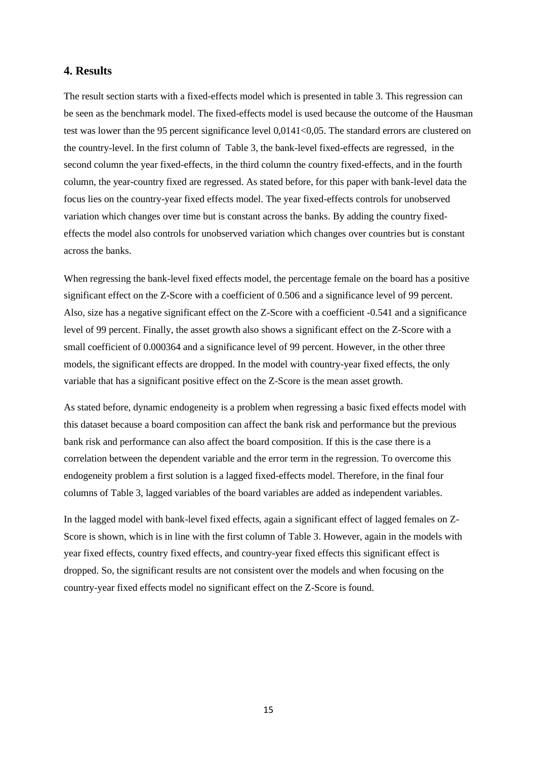# <span id="page-14-0"></span>**4. Results**

The result section starts with a fixed-effects model which is presented in table 3. This regression can be seen as the benchmark model. The fixed-effects model is used because the outcome of the Hausman test was lower than the 95 percent significance level 0,0141<0,05. The standard errors are clustered on the country-level. In the first column of Table 3, the bank-level fixed-effects are regressed, in the second column the year fixed-effects, in the third column the country fixed-effects, and in the fourth column, the year-country fixed are regressed. As stated before, for this paper with bank-level data the focus lies on the country-year fixed effects model. The year fixed-effects controls for unobserved variation which changes over time but is constant across the banks. By adding the country fixedeffects the model also controls for unobserved variation which changes over countries but is constant across the banks.

When regressing the bank-level fixed effects model, the percentage female on the board has a positive significant effect on the Z-Score with a coefficient of 0.506 and a significance level of 99 percent. Also, size has a negative significant effect on the Z-Score with a coefficient -0.541 and a significance level of 99 percent. Finally, the asset growth also shows a significant effect on the Z-Score with a small coefficient of 0.000364 and a significance level of 99 percent. However, in the other three models, the significant effects are dropped. In the model with country-year fixed effects, the only variable that has a significant positive effect on the Z-Score is the mean asset growth.

As stated before, dynamic endogeneity is a problem when regressing a basic fixed effects model with this dataset because a board composition can affect the bank risk and performance but the previous bank risk and performance can also affect the board composition. If this is the case there is a correlation between the dependent variable and the error term in the regression. To overcome this endogeneity problem a first solution is a lagged fixed-effects model. Therefore, in the final four columns of Table 3, lagged variables of the board variables are added as independent variables.

In the lagged model with bank-level fixed effects, again a significant effect of lagged females on Z-Score is shown, which is in line with the first column of Table 3. However, again in the models with year fixed effects, country fixed effects, and country-year fixed effects this significant effect is dropped. So, the significant results are not consistent over the models and when focusing on the country-year fixed effects model no significant effect on the Z-Score is found.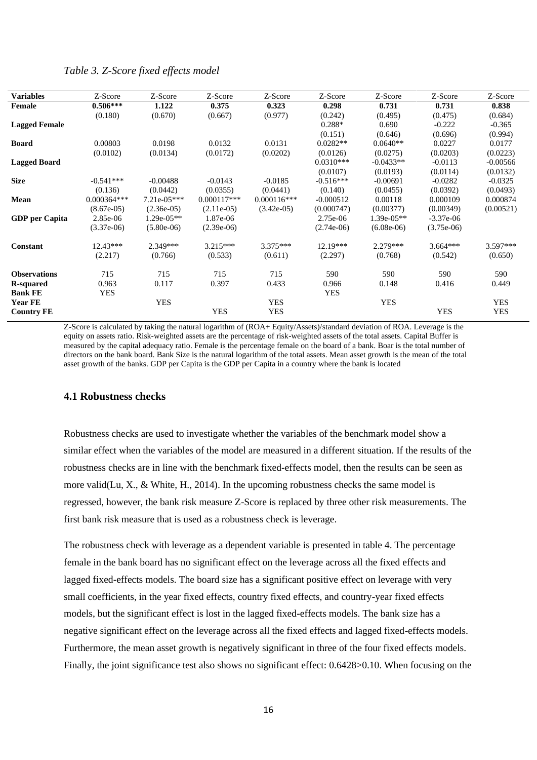# *Table 3. Z-Score fixed effects model*

| <b>Variables</b>      | Z-Score       | Z-Score       | Z-Score       | Z-Score       | Z-Score      | Z-Score      | Z-Score      | Z-Score    |
|-----------------------|---------------|---------------|---------------|---------------|--------------|--------------|--------------|------------|
| Female                | $0.506***$    | 1.122         | 0.375         | 0.323         | 0.298        | 0.731        | 0.731        | 0.838      |
|                       | (0.180)       | (0.670)       | (0.667)       | (0.977)       | (0.242)      | (0.495)      | (0.475)      | (0.684)    |
| <b>Lagged Female</b>  |               |               |               |               | $0.288*$     | 0.690        | $-0.222$     | $-0.365$   |
|                       |               |               |               |               | (0.151)      | (0.646)      | (0.696)      | (0.994)    |
| <b>Board</b>          | 0.00803       | 0.0198        | 0.0132        | 0.0131        | $0.0282**$   | $0.0640**$   | 0.0227       | 0.0177     |
|                       | (0.0102)      | (0.0134)      | (0.0172)      | (0.0202)      | (0.0126)     | (0.0275)     | (0.0203)     | (0.0223)   |
| <b>Lagged Board</b>   |               |               |               |               | $0.0310***$  | $-0.0433**$  | $-0.0113$    | $-0.00566$ |
|                       |               |               |               |               | (0.0107)     | (0.0193)     | (0.0114)     | (0.0132)   |
| <b>Size</b>           | $-0.541***$   | $-0.00488$    | $-0.0143$     | $-0.0185$     | $-0.516***$  | $-0.00691$   | $-0.0282$    | $-0.0325$  |
|                       | (0.136)       | (0.0442)      | (0.0355)      | (0.0441)      | (0.140)      | (0.0455)     | (0.0392)     | (0.0493)   |
| Mean                  | $0.000364***$ | $7.21e-05***$ | $0.000117***$ | $0.000116***$ | $-0.000512$  | 0.00118      | 0.000109     | 0.000874   |
|                       | $(8.67e-05)$  | $(2.36e-05)$  | $(2.11e-05)$  | $(3.42e-05)$  | (0.000747)   | (0.00377)    | (0.00349)    | (0.00521)  |
| <b>GDP</b> per Capita | 2.85e-06      | $1.29e-05**$  | 1.87e-06      |               | 2.75e-06     | $1.39e-05**$ | $-3.37e-06$  |            |
|                       | $(3.37e-06)$  | $(5.80e-06)$  | $(2.39e-06)$  |               | $(2.74e-06)$ | $(6.08e-06)$ | $(3.75e-06)$ |            |
| Constant              | $12.43***$    | 2.349***      | $3.215***$    | $3.375***$    | $12.19***$   | $2.279***$   | $3.664***$   | 3.597***   |
|                       | (2.217)       | (0.766)       | (0.533)       | (0.611)       | (2.297)      | (0.768)      | (0.542)      | (0.650)    |
| <b>Observations</b>   | 715           | 715           | 715           | 715           | 590          | 590          | 590          | 590        |
| <b>R-squared</b>      | 0.963         | 0.117         | 0.397         | 0.433         | 0.966        | 0.148        | 0.416        | 0.449      |
| <b>Bank FE</b>        | <b>YES</b>    |               |               |               | <b>YES</b>   |              |              |            |
| <b>Year FE</b>        |               | <b>YES</b>    |               | <b>YES</b>    |              | <b>YES</b>   |              | <b>YES</b> |
| <b>Country FE</b>     |               |               | <b>YES</b>    | <b>YES</b>    |              |              | <b>YES</b>   | <b>YES</b> |
|                       |               |               |               |               |              |              |              |            |

Z-Score is calculated by taking the natural logarithm of (ROA+ Equity/Assets)/standard deviation of ROA. Leverage is the equity on assets ratio. Risk-weighted assets are the percentage of risk-weighted assets of the total assets. Capital Buffer is measured by the capital adequacy ratio. Female is the percentage female on the board of a bank. Boar is the total number of directors on the bank board. Bank Size is the natural logarithm of the total assets. Mean asset growth is the mean of the total asset growth of the banks. GDP per Capita is the GDP per Capita in a country where the bank is located

#### <span id="page-15-0"></span>**4.1 Robustness checks**

Robustness checks are used to investigate whether the variables of the benchmark model show a similar effect when the variables of the model are measured in a different situation. If the results of the robustness checks are in line with the benchmark fixed-effects model, then the results can be seen as more valid(Lu, X.,  $\&$  White, H., 2014). In the upcoming robustness checks the same model is regressed, however, the bank risk measure Z-Score is replaced by three other risk measurements. The first bank risk measure that is used as a robustness check is leverage.

The robustness check with leverage as a dependent variable is presented in table 4. The percentage female in the bank board has no significant effect on the leverage across all the fixed effects and lagged fixed-effects models. The board size has a significant positive effect on leverage with very small coefficients, in the year fixed effects, country fixed effects, and country-year fixed effects models, but the significant effect is lost in the lagged fixed-effects models. The bank size has a negative significant effect on the leverage across all the fixed effects and lagged fixed-effects models. Furthermore, the mean asset growth is negatively significant in three of the four fixed effects models. Finally, the joint significance test also shows no significant effect: 0.6428>0.10. When focusing on the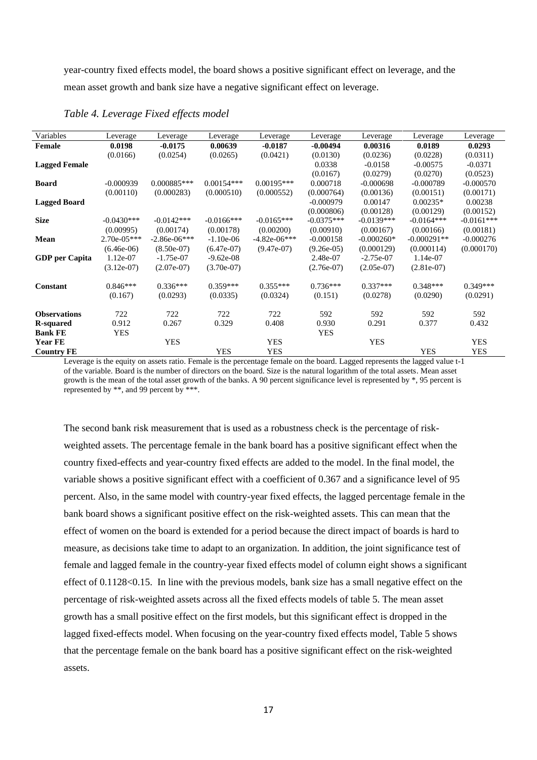year-country fixed effects model, the board shows a positive significant effect on leverage, and the mean asset growth and bank size have a negative significant effect on leverage.

| Variables             | Leverage      | Leverage       | Leverage      | Leverage       | Leverage     | Leverage     | Leverage      | Leverage     |
|-----------------------|---------------|----------------|---------------|----------------|--------------|--------------|---------------|--------------|
| Female                | 0.0198        | $-0.0175$      | 0.00639       | $-0.0187$      | $-0.00494$   | 0.00316      | 0.0189        | 0.0293       |
|                       | (0.0166)      | (0.0254)       | (0.0265)      | (0.0421)       | (0.0130)     | (0.0236)     | (0.0228)      | (0.0311)     |
| <b>Lagged Female</b>  |               |                |               |                | 0.0338       | $-0.0158$    | $-0.00575$    | $-0.0371$    |
|                       |               |                |               |                | (0.0167)     | (0.0279)     | (0.0270)      | (0.0523)     |
| <b>Board</b>          | $-0.000939$   | $0.000885***$  | $0.00154***$  | $0.00195***$   | 0.000718     | $-0.000698$  | $-0.000789$   | $-0.000570$  |
|                       | (0.00110)     | (0.000283)     | (0.000510)    | (0.000552)     | (0.000764)   | (0.00136)    | (0.00151)     | (0.00171)    |
| <b>Lagged Board</b>   |               |                |               |                | $-0.000979$  | 0.00147      | $0.00235*$    | 0.00238      |
|                       |               |                |               |                | (0.000806)   | (0.00128)    | (0.00129)     | (0.00152)    |
| <b>Size</b>           | $-0.0430***$  | $-0.0142***$   | $-0.0166$ *** | $-0.0165***$   | $-0.0375***$ | $-0.0139***$ | $-0.0164***$  | $-0.0161***$ |
|                       | (0.00995)     | (0.00174)      | (0.00178)     | (0.00200)      | (0.00910)    | (0.00167)    | (0.00166)     | (0.00181)    |
| Mean                  | $2.70e-05***$ | $-2.86e-06***$ | $-1.10e-06$   | $-4.82e-06***$ | $-0.000158$  | $-0.000260*$ | $-0.000291**$ | $-0.000276$  |
|                       | $(6.46e-06)$  | $(8.50e-07)$   | $(6.47e-07)$  | $(9.47e-07)$   | $(9.26e-05)$ | (0.000129)   | (0.000114)    | (0.000170)   |
| <b>GDP</b> per Capita | 1.12e-07      | $-1.75e-07$    | $-9.62e-08$   |                | 2.48e-07     | $-2.75e-07$  | 1.14e-07      |              |
|                       | $(3.12e-07)$  | $(2.07e-07)$   | $(3.70e-07)$  |                | $(2.76e-07)$ | $(2.05e-07)$ | $(2.81e-07)$  |              |
| <b>Constant</b>       | $0.846***$    | $0.336***$     | $0.359***$    | $0.355***$     | $0.736***$   | $0.337***$   | $0.348***$    | $0.349***$   |
|                       | (0.167)       | (0.0293)       | (0.0335)      | (0.0324)       | (0.151)      | (0.0278)     | (0.0290)      | (0.0291)     |
| <b>Observations</b>   | 722           | 722            | 722           | 722            | 592          | 592          | 592           | 592          |
| <b>R-squared</b>      | 0.912         | 0.267          | 0.329         | 0.408          | 0.930        | 0.291        | 0.377         | 0.432        |
| <b>Bank FE</b>        | <b>YES</b>    |                |               |                | <b>YES</b>   |              |               |              |
| <b>Year FE</b>        |               | <b>YES</b>     |               | <b>YES</b>     |              | <b>YES</b>   |               | <b>YES</b>   |
| <b>Country FE</b>     |               |                | <b>YES</b>    | <b>YES</b>     |              |              | YES           | <b>YES</b>   |

*Table 4. Leverage Fixed effects model*

Leverage is the equity on assets ratio. Female is the percentage female on the board. Lagged represents the lagged value t-1 of the variable. Board is the number of directors on the board. Size is the natural logarithm of the total assets. Mean asset growth is the mean of the total asset growth of the banks. A 90 percent significance level is represented by \*, 95 percent is represented by \*\*, and 99 percent by \*\*\*.

The second bank risk measurement that is used as a robustness check is the percentage of riskweighted assets. The percentage female in the bank board has a positive significant effect when the country fixed-effects and year-country fixed effects are added to the model. In the final model, the variable shows a positive significant effect with a coefficient of 0.367 and a significance level of 95 percent. Also, in the same model with country-year fixed effects, the lagged percentage female in the bank board shows a significant positive effect on the risk-weighted assets. This can mean that the effect of women on the board is extended for a period because the direct impact of boards is hard to measure, as decisions take time to adapt to an organization. In addition, the joint significance test of female and lagged female in the country-year fixed effects model of column eight shows a significant effect of 0.1128<0.15. In line with the previous models, bank size has a small negative effect on the percentage of risk-weighted assets across all the fixed effects models of table 5. The mean asset growth has a small positive effect on the first models, but this significant effect is dropped in the lagged fixed-effects model. When focusing on the year-country fixed effects model, Table 5 shows that the percentage female on the bank board has a positive significant effect on the risk-weighted assets.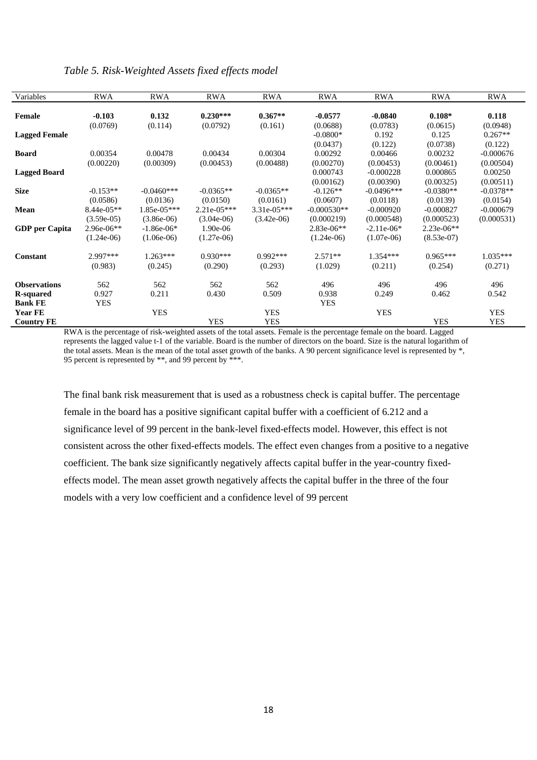|  |  | Table 5. Risk-Weighted Assets fixed effects model |  |  |  |
|--|--|---------------------------------------------------|--|--|--|
|--|--|---------------------------------------------------|--|--|--|

| Variables                           | <b>RWA</b>                   | <b>RWA</b>                   | <b>RWA</b>                    | <b>RWA</b>                  | <b>RWA</b>                         | <b>RWA</b>                            | <b>RWA</b>                       | <b>RWA</b>                        |
|-------------------------------------|------------------------------|------------------------------|-------------------------------|-----------------------------|------------------------------------|---------------------------------------|----------------------------------|-----------------------------------|
| <b>Female</b>                       | $-0.103$<br>(0.0769)         | 0.132<br>(0.114)             | $0.230***$<br>(0.0792)        | $0.367**$<br>(0.161)        | $-0.0577$<br>(0.0688)              | $-0.0840$<br>(0.0783)                 | $0.108*$<br>(0.0615)             | 0.118<br>(0.0948)                 |
| <b>Lagged Female</b>                |                              |                              |                               |                             | $-0.0800*$                         | 0.192                                 | 0.125                            | $0.267**$                         |
| <b>Board</b>                        | 0.00354                      | 0.00478                      | 0.00434                       | 0.00304                     | (0.0437)<br>0.00292                | (0.122)<br>0.00466                    | (0.0738)<br>0.00232<br>(0.00461) | (0.122)<br>$-0.000676$            |
| <b>Lagged Board</b>                 | (0.00220)                    | (0.00309)                    | (0.00453)                     | (0.00488)                   | (0.00270)<br>0.000743<br>(0.00162) | (0.00453)<br>$-0.000228$<br>(0.00390) | 0.000865<br>(0.00325)            | (0.00504)<br>0.00250<br>(0.00511) |
| <b>Size</b>                         | $-0.153**$<br>(0.0586)       | $-0.0460***$<br>(0.0136)     | $-0.0365**$<br>(0.0150)       | $-0.0365**$<br>(0.0161)     | $-0.126**$<br>(0.0607)             | $-0.0496***$<br>(0.0118)              | $-0.0380**$<br>(0.0139)          | $-0.0378**$<br>(0.0154)           |
| Mean                                | $8.44e-05**$<br>$(3.59e-05)$ | 1.85e-05***<br>$(3.86e-06)$  | $2.21e-05***$<br>$(3.04e-06)$ | 3.31e-05***<br>$(3.42e-06)$ | $-0.000530**$<br>(0.000219)        | $-0.000920$<br>(0.000548)             | $-0.000827$<br>(0.000523)        | $-0.000679$<br>(0.000531)         |
| <b>GDP</b> per Capita               | 2.96e-06**<br>$(1.24e-06)$   | $-1.86e-06*$<br>$(1.06e-06)$ | $1.90e-06$<br>$(1.27e-06)$    |                             | $2.83e-06**$<br>$(1.24e-06)$       | $-2.11e-06*$<br>$(1.07e-06)$          | 2.23e-06**<br>$(8.53e-07)$       |                                   |
| <b>Constant</b>                     | 2.997***<br>(0.983)          | $1.263***$<br>(0.245)        | $0.930***$<br>(0.290)         | $0.992***$<br>(0.293)       | $2.571**$<br>(1.029)               | $1.354***$<br>(0.211)                 | $0.965***$<br>(0.254)            | $1.035***$<br>(0.271)             |
| <b>Observations</b>                 | 562                          | 562                          | 562                           | 562                         | 496                                | 496                                   | 496                              | 496                               |
| <b>R</b> -squared<br><b>Bank FE</b> | 0.927<br><b>YES</b>          | 0.211                        | 0.430                         | 0.509                       | 0.938<br><b>YES</b>                | 0.249                                 | 0.462                            | 0.542                             |
| <b>Year FE</b><br><b>Country FE</b> |                              | <b>YES</b>                   | <b>YES</b>                    | <b>YES</b><br><b>YES</b>    |                                    | <b>YES</b>                            | <b>YES</b>                       | <b>YES</b><br><b>YES</b>          |

RWA is the percentage of risk-weighted assets of the total assets. Female is the percentage female on the board. Lagged represents the lagged value t-1 of the variable. Board is the number of directors on the board. Size is the natural logarithm of the total assets. Mean is the mean of the total asset growth of the banks. A 90 percent significance level is represented by \*, 95 percent is represented by \*\*, and 99 percent by \*\*\*.

The final bank risk measurement that is used as a robustness check is capital buffer. The percentage female in the board has a positive significant capital buffer with a coefficient of 6.212 and a significance level of 99 percent in the bank-level fixed-effects model. However, this effect is not consistent across the other fixed-effects models. The effect even changes from a positive to a negative coefficient. The bank size significantly negatively affects capital buffer in the year-country fixedeffects model. The mean asset growth negatively affects the capital buffer in the three of the four models with a very low coefficient and a confidence level of 99 percent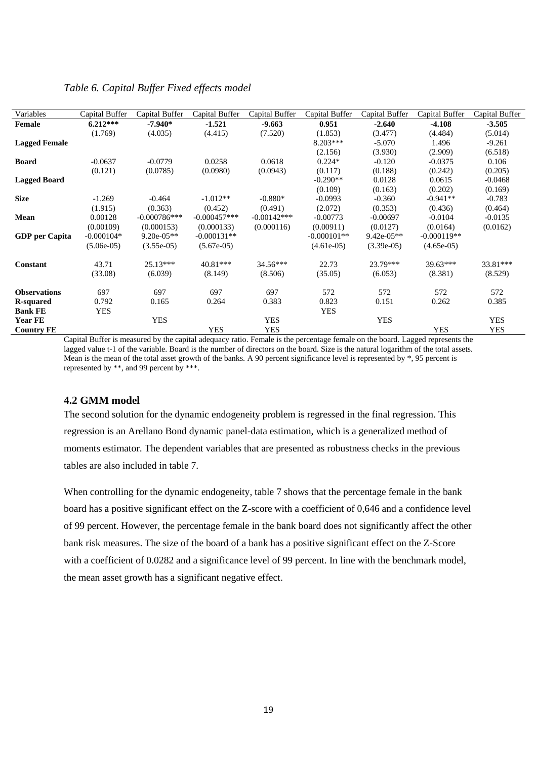# *Table 6. Capital Buffer Fixed effects model*

| Variables             | Capital Buffer | Capital Buffer | Capital Buffer | Capital Buffer | Capital Buffer | Capital Buffer | Capital Buffer | Capital Buffer |
|-----------------------|----------------|----------------|----------------|----------------|----------------|----------------|----------------|----------------|
| <b>Female</b>         | $6.212***$     | $-7.940*$      | $-1.521$       | $-9.663$       | 0.951          | $-2.640$       | $-4.108$       | $-3.505$       |
|                       | (1.769)        | (4.035)        | (4.415)        | (7.520)        | (1.853)        | (3.477)        | (4.484)        | (5.014)        |
| <b>Lagged Female</b>  |                |                |                |                | $8.203***$     | $-5.070$       | 1.496          | $-9.261$       |
|                       |                |                |                |                | (2.156)        | (3.930)        | (2.909)        | (6.518)        |
| <b>Board</b>          | $-0.0637$      | $-0.0779$      | 0.0258         | 0.0618         | $0.224*$       | $-0.120$       | $-0.0375$      | 0.106          |
|                       | (0.121)        | (0.0785)       | (0.0980)       | (0.0943)       | (0.117)        | (0.188)        | (0.242)        | (0.205)        |
| <b>Lagged Board</b>   |                |                |                |                | $-0.290**$     | 0.0128         | 0.0615         | $-0.0468$      |
|                       |                |                |                |                | (0.109)        | (0.163)        | (0.202)        | (0.169)        |
| <b>Size</b>           | $-1.269$       | $-0.464$       | $-1.012**$     | $-0.880*$      | $-0.0993$      | $-0.360$       | $-0.941**$     | $-0.783$       |
|                       | (1.915)        | (0.363)        | (0.452)        | (0.491)        | (2.072)        | (0.353)        | (0.436)        | (0.464)        |
| Mean                  | 0.00128        | $-0.000786***$ | $-0.000457***$ | $-0.00142***$  | $-0.00773$     | $-0.00697$     | $-0.0104$      | $-0.0135$      |
|                       | (0.00109)      | (0.000153)     | (0.000133)     | (0.000116)     | (0.00911)      | (0.0127)       | (0.0164)       | (0.0162)       |
| <b>GDP</b> per Capita | $-0.000104*$   | $9.20e-05**$   | $-0.000131**$  |                | $-0.000101**$  | $9.42e-05**$   | $-0.000119**$  |                |
|                       | $(5.06e-05)$   | $(3.55e-05)$   | $(5.67e-05)$   |                | $(4.61e-05)$   | $(3.39e-05)$   | $(4.65e-05)$   |                |
| <b>Constant</b>       | 43.71          | $25.13***$     | $40.81***$     | 34.56***       | 22.73          | 23.79***       | $39.63***$     | 33.81***       |
|                       | (33.08)        | (6.039)        | (8.149)        | (8.506)        | (35.05)        | (6.053)        | (8.381)        | (8.529)        |
| <b>Observations</b>   | 697            | 697            | 697            | 697            | 572            | 572            | 572            | 572            |
| <b>R</b> -squared     | 0.792          | 0.165          | 0.264          | 0.383          | 0.823          | 0.151          | 0.262          | 0.385          |
| <b>Bank FE</b>        | <b>YES</b>     |                |                |                | <b>YES</b>     |                |                |                |
| <b>Year FE</b>        |                | <b>YES</b>     |                | <b>YES</b>     |                | <b>YES</b>     |                | <b>YES</b>     |
| <b>Country FE</b>     |                |                | <b>YES</b>     | <b>YES</b>     |                |                | <b>YES</b>     | <b>YES</b>     |

Capital Buffer is measured by the capital adequacy ratio. Female is the percentage female on the board. Lagged represents the lagged value t-1 of the variable. Board is the number of directors on the board. Size is the natural logarithm of the total assets. Mean is the mean of the total asset growth of the banks. A 90 percent significance level is represented by \*, 95 percent is represented by \*\*, and 99 percent by \*\*\*.

## <span id="page-18-0"></span>**4.2 GMM model**

The second solution for the dynamic endogeneity problem is regressed in the final regression. This regression is an Arellano Bond dynamic panel-data estimation, which is a generalized method of moments estimator. The dependent variables that are presented as robustness checks in the previous tables are also included in table 7.

When controlling for the dynamic endogeneity, table 7 shows that the percentage female in the bank board has a positive significant effect on the Z-score with a coefficient of 0,646 and a confidence level of 99 percent. However, the percentage female in the bank board does not significantly affect the other bank risk measures. The size of the board of a bank has a positive significant effect on the Z-Score with a coefficient of 0.0282 and a significance level of 99 percent. In line with the benchmark model, the mean asset growth has a significant negative effect.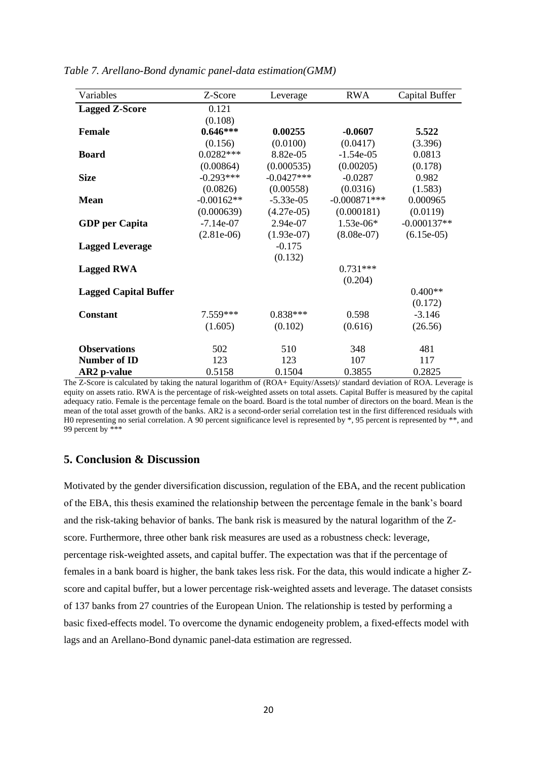| Variables                    | Z-Score      | Leverage     | <b>RWA</b>     | Capital Buffer |
|------------------------------|--------------|--------------|----------------|----------------|
| <b>Lagged Z-Score</b>        | 0.121        |              |                |                |
|                              | (0.108)      |              |                |                |
| <b>Female</b>                | $0.646***$   | 0.00255      | $-0.0607$      | 5.522          |
|                              | (0.156)      | (0.0100)     | (0.0417)       | (3.396)        |
| <b>Board</b>                 | $0.0282***$  | 8.82e-05     | $-1.54e-05$    | 0.0813         |
|                              | (0.00864)    | (0.000535)   | (0.00205)      | (0.178)        |
| <b>Size</b>                  | $-0.293***$  | $-0.0427***$ | $-0.0287$      | 0.982          |
|                              | (0.0826)     | (0.00558)    | (0.0316)       | (1.583)        |
| <b>Mean</b>                  | $-0.00162**$ | $-5.33e-05$  | $-0.000871***$ | 0.000965       |
|                              | (0.000639)   | $(4.27e-05)$ | (0.000181)     | (0.0119)       |
| <b>GDP</b> per Capita        | $-7.14e-07$  | 2.94e-07     | $1.53e-06*$    | $-0.000137**$  |
|                              | $(2.81e-06)$ | $(1.93e-07)$ | $(8.08e-07)$   | $(6.15e-05)$   |
| <b>Lagged Leverage</b>       |              | $-0.175$     |                |                |
|                              |              | (0.132)      |                |                |
| <b>Lagged RWA</b>            |              |              | $0.731***$     |                |
|                              |              |              | (0.204)        |                |
| <b>Lagged Capital Buffer</b> |              |              |                | $0.400**$      |
|                              |              |              |                | (0.172)        |
| <b>Constant</b>              | $7.559***$   | $0.838***$   | 0.598          | $-3.146$       |
|                              | (1.605)      | (0.102)      | (0.616)        | (26.56)        |
| <b>Observations</b>          | 502          | 510          | 348            | 481            |
| Number of ID                 | 123          | 123          | 107            | 117            |
| AR2 p-value                  | 0.5158       | 0.1504       | 0.3855         | 0.2825         |

*Table 7. Arellano-Bond dynamic panel-data estimation(GMM)*

The Z-Score is calculated by taking the natural logarithm of (ROA+ Equity/Assets)/ standard deviation of ROA. Leverage is equity on assets ratio. RWA is the percentage of risk-weighted assets on total assets. Capital Buffer is measured by the capital adequacy ratio. Female is the percentage female on the board. Board is the total number of directors on the board. Mean is the mean of the total asset growth of the banks. AR2 is a second-order serial correlation test in the first differenced residuals with H0 representing no serial correlation. A 90 percent significance level is represented by \*, 95 percent is represented by \*\*, and 99 percent by \*\*\*

# <span id="page-19-0"></span>**5. Conclusion & Discussion**

Motivated by the gender diversification discussion, regulation of the EBA, and the recent publication of the EBA, this thesis examined the relationship between the percentage female in the bank's board and the risk-taking behavior of banks. The bank risk is measured by the natural logarithm of the Zscore. Furthermore, three other bank risk measures are used as a robustness check: leverage, percentage risk-weighted assets, and capital buffer. The expectation was that if the percentage of females in a bank board is higher, the bank takes less risk. For the data, this would indicate a higher Zscore and capital buffer, but a lower percentage risk-weighted assets and leverage. The dataset consists of 137 banks from 27 countries of the European Union. The relationship is tested by performing a basic fixed-effects model. To overcome the dynamic endogeneity problem, a fixed-effects model with lags and an Arellano-Bond dynamic panel-data estimation are regressed.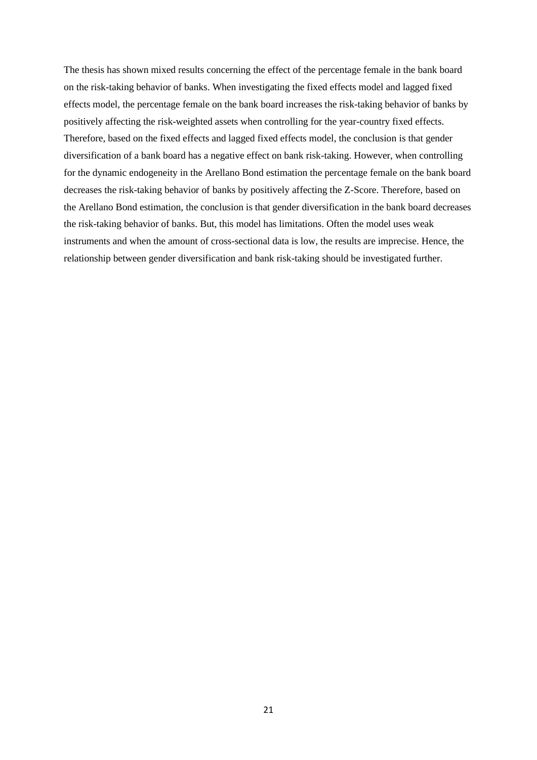The thesis has shown mixed results concerning the effect of the percentage female in the bank board on the risk-taking behavior of banks. When investigating the fixed effects model and lagged fixed effects model, the percentage female on the bank board increases the risk-taking behavior of banks by positively affecting the risk-weighted assets when controlling for the year-country fixed effects. Therefore, based on the fixed effects and lagged fixed effects model, the conclusion is that gender diversification of a bank board has a negative effect on bank risk-taking. However, when controlling for the dynamic endogeneity in the Arellano Bond estimation the percentage female on the bank board decreases the risk-taking behavior of banks by positively affecting the Z-Score. Therefore, based on the Arellano Bond estimation, the conclusion is that gender diversification in the bank board decreases the risk-taking behavior of banks. But, this model has limitations. Often the model uses weak instruments and when the amount of cross-sectional data is low, the results are imprecise. Hence, the relationship between gender diversification and bank risk-taking should be investigated further.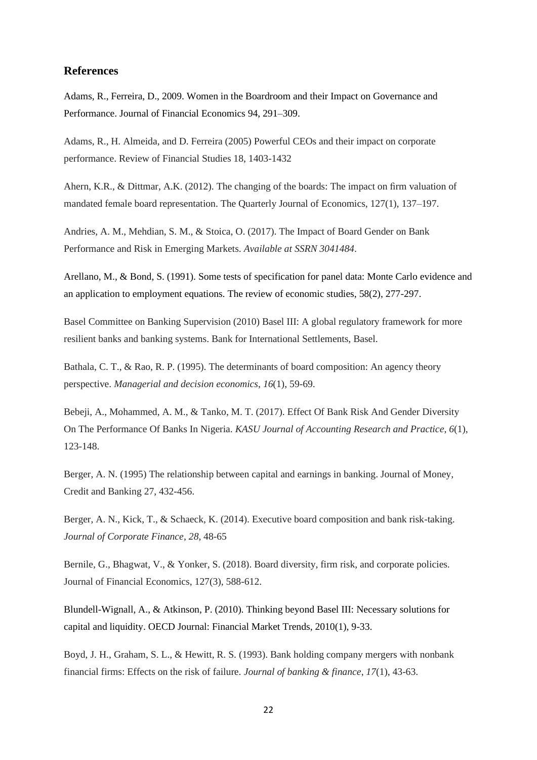# <span id="page-21-0"></span>**References**

Adams, R., Ferreira, D., 2009. Women in the Boardroom and their Impact on Governance and Performance. Journal of Financial Economics 94, 291–309.

Adams, R., H. Almeida, and D. Ferreira (2005) Powerful CEOs and their impact on corporate performance. Review of Financial Studies 18, 1403-1432

Ahern, K.R., & Dittmar, A.K. (2012). The changing of the boards: The impact on firm valuation of mandated female board representation. The Quarterly Journal of Economics, 127(1), 137–197.

Andries, A. M., Mehdian, S. M., & Stoica, O. (2017). The Impact of Board Gender on Bank Performance and Risk in Emerging Markets. *Available at SSRN 3041484*.

Arellano, M., & Bond, S. (1991). Some tests of specification for panel data: Monte Carlo evidence and an application to employment equations. The review of economic studies, 58(2), 277-297.

Basel Committee on Banking Supervision (2010) Basel III: A global regulatory framework for more resilient banks and banking systems. Bank for International Settlements, Basel.

Bathala, C. T., & Rao, R. P. (1995). The determinants of board composition: An agency theory perspective. *Managerial and decision economics*, *16*(1), 59-69.

Bebeji, A., Mohammed, A. M., & Tanko, M. T. (2017). Effect Of Bank Risk And Gender Diversity On The Performance Of Banks In Nigeria. *KASU Journal of Accounting Research and Practice*, *6*(1), 123-148.

Berger, A. N. (1995) The relationship between capital and earnings in banking. Journal of Money, Credit and Banking 27, 432-456.

Berger, A. N., Kick, T., & Schaeck, K. (2014). Executive board composition and bank risk-taking. *Journal of Corporate Finance*, *28*, 48-65

Bernile, G., Bhagwat, V., & Yonker, S. (2018). Board diversity, firm risk, and corporate policies. Journal of Financial Economics, 127(3), 588-612.

Blundell-Wignall, A., & Atkinson, P. (2010). Thinking beyond Basel III: Necessary solutions for capital and liquidity. OECD Journal: Financial Market Trends, 2010(1), 9-33.

Boyd, J. H., Graham, S. L., & Hewitt, R. S. (1993). Bank holding company mergers with nonbank financial firms: Effects on the risk of failure. *Journal of banking & finance*, *17*(1), 43-63.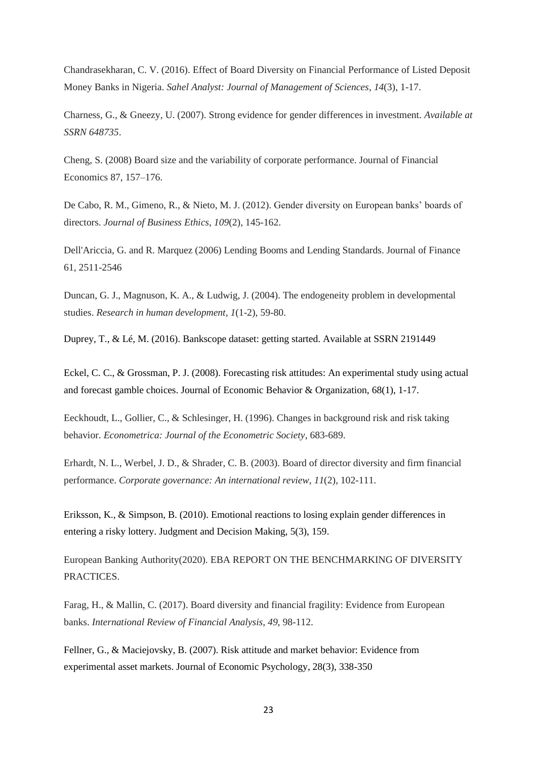Chandrasekharan, C. V. (2016). Effect of Board Diversity on Financial Performance of Listed Deposit Money Banks in Nigeria. *Sahel Analyst: Journal of Management of Sciences*, *14*(3), 1-17.

Charness, G., & Gneezy, U. (2007). Strong evidence for gender differences in investment. *Available at SSRN 648735*.

Cheng, S. (2008) Board size and the variability of corporate performance. Journal of Financial Economics 87, 157–176.

De Cabo, R. M., Gimeno, R., & Nieto, M. J. (2012). Gender diversity on European banks' boards of directors. *Journal of Business Ethics*, *109*(2), 145-162.

Dell'Ariccia, G. and R. Marquez (2006) Lending Booms and Lending Standards. Journal of Finance 61, 2511-2546

Duncan, G. J., Magnuson, K. A., & Ludwig, J. (2004). The endogeneity problem in developmental studies. *Research in human development*, *1*(1-2), 59-80.

Duprey, T., & Lé, M. (2016). Bankscope dataset: getting started. Available at SSRN 2191449

Eckel, C. C., & Grossman, P. J. (2008). Forecasting risk attitudes: An experimental study using actual and forecast gamble choices. Journal of Economic Behavior & Organization, 68(1), 1-17.

Eeckhoudt, L., Gollier, C., & Schlesinger, H. (1996). Changes in background risk and risk taking behavior. *Econometrica: Journal of the Econometric Society*, 683-689.

Erhardt, N. L., Werbel, J. D., & Shrader, C. B. (2003). Board of director diversity and firm financial performance. *Corporate governance: An international review*, *11*(2), 102-111.

Eriksson, K., & Simpson, B. (2010). Emotional reactions to losing explain gender differences in entering a risky lottery. Judgment and Decision Making, 5(3), 159.

European Banking Authority(2020). EBA REPORT ON THE BENCHMARKING OF DIVERSITY PRACTICES.

Farag, H., & Mallin, C. (2017). Board diversity and financial fragility: Evidence from European banks. *International Review of Financial Analysis*, *49*, 98-112.

Fellner, G., & Maciejovsky, B. (2007). Risk attitude and market behavior: Evidence from experimental asset markets. Journal of Economic Psychology, 28(3), 338-350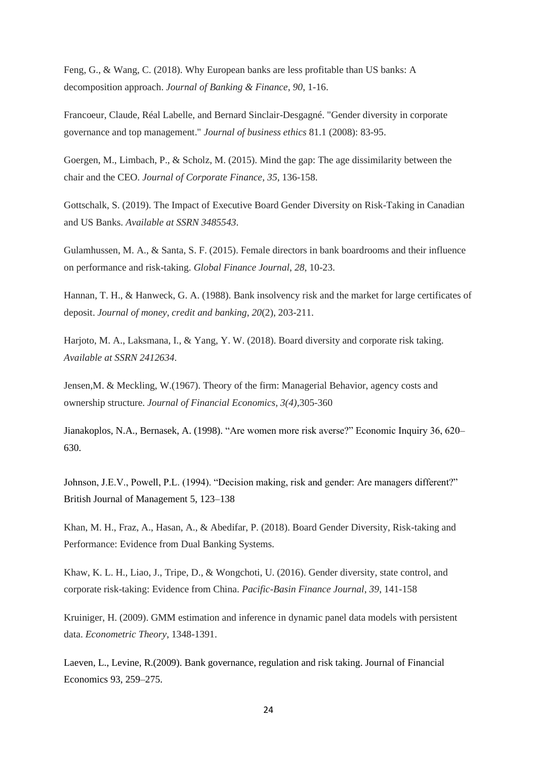Feng, G., & Wang, C. (2018). Why European banks are less profitable than US banks: A decomposition approach. *Journal of Banking & Finance*, *90*, 1-16.

Francoeur, Claude, Réal Labelle, and Bernard Sinclair-Desgagné. "Gender diversity in corporate governance and top management." *Journal of business ethics* 81.1 (2008): 83-95.

Goergen, M., Limbach, P., & Scholz, M. (2015). Mind the gap: The age dissimilarity between the chair and the CEO. *Journal of Corporate Finance*, *35*, 136-158.

Gottschalk, S. (2019). The Impact of Executive Board Gender Diversity on Risk-Taking in Canadian and US Banks. *Available at SSRN 3485543*.

Gulamhussen, M. A., & Santa, S. F. (2015). Female directors in bank boardrooms and their influence on performance and risk-taking. *Global Finance Journal*, *28*, 10-23.

Hannan, T. H., & Hanweck, G. A. (1988). Bank insolvency risk and the market for large certificates of deposit. *Journal of money, credit and banking*, *20*(2), 203-211.

Harjoto, M. A., Laksmana, I., & Yang, Y. W. (2018). Board diversity and corporate risk taking. *Available at SSRN 2412634*.

Jensen,M. & Meckling, W.(1967). Theory of the firm: Managerial Behavior, agency costs and ownership structure. *Journal of Financial Economics, 3(4)*,305-360

Jianakoplos, N.A., Bernasek, A. (1998). "Are women more risk averse?" Economic Inquiry 36, 620– 630.

Johnson, J.E.V., Powell, P.L. (1994). "Decision making, risk and gender: Are managers different?" British Journal of Management 5, 123–138

Khan, M. H., Fraz, A., Hasan, A., & Abedifar, P. (2018). Board Gender Diversity, Risk-taking and Performance: Evidence from Dual Banking Systems.

Khaw, K. L. H., Liao, J., Tripe, D., & Wongchoti, U. (2016). Gender diversity, state control, and corporate risk-taking: Evidence from China. *Pacific-Basin Finance Journal*, *39*, 141-158

Kruiniger, H. (2009). GMM estimation and inference in dynamic panel data models with persistent data. *Econometric Theory*, 1348-1391.

Laeven, L., Levine, R.(2009). Bank governance, regulation and risk taking. Journal of Financial Economics 93, 259–275.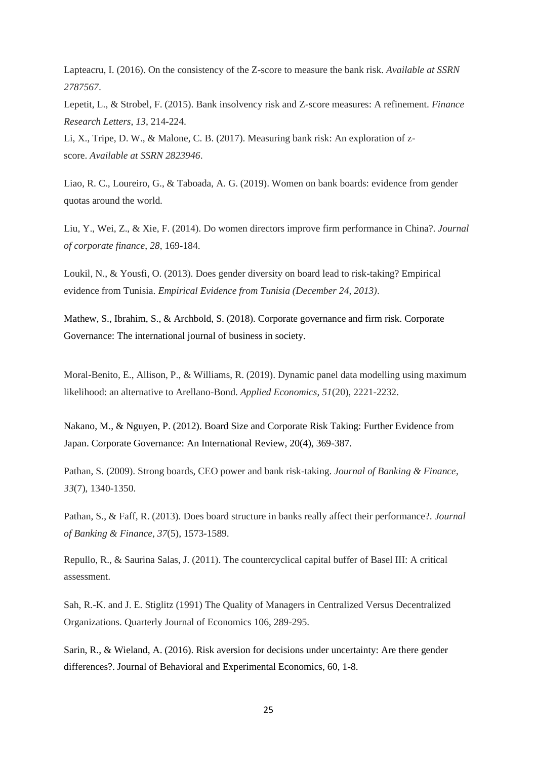Lapteacru, I. (2016). On the consistency of the Z-score to measure the bank risk. *Available at SSRN 2787567*.

Lepetit, L., & Strobel, F. (2015). Bank insolvency risk and Z-score measures: A refinement. *Finance Research Letters*, *13*, 214-224.

Li, X., Tripe, D. W., & Malone, C. B. (2017). Measuring bank risk: An exploration of zscore. *Available at SSRN 2823946*.

Liao, R. C., Loureiro, G., & Taboada, A. G. (2019). Women on bank boards: evidence from gender quotas around the world.

Liu, Y., Wei, Z., & Xie, F. (2014). Do women directors improve firm performance in China?. *Journal of corporate finance*, *28*, 169-184.

Loukil, N., & Yousfi, O. (2013). Does gender diversity on board lead to risk-taking? Empirical evidence from Tunisia. *Empirical Evidence from Tunisia (December 24, 2013)*.

Mathew, S., Ibrahim, S., & Archbold, S. (2018). Corporate governance and firm risk. Corporate Governance: The international journal of business in society.

Moral-Benito, E., Allison, P., & Williams, R. (2019). Dynamic panel data modelling using maximum likelihood: an alternative to Arellano-Bond. *Applied Economics*, *51*(20), 2221-2232.

Nakano, M., & Nguyen, P. (2012). Board Size and Corporate Risk Taking: Further Evidence from Japan. Corporate Governance: An International Review, 20(4), 369-387.

Pathan, S. (2009). Strong boards, CEO power and bank risk-taking. *Journal of Banking & Finance*, *33*(7), 1340-1350.

Pathan, S., & Faff, R. (2013). Does board structure in banks really affect their performance?. *Journal of Banking & Finance*, *37*(5), 1573-1589.

Repullo, R., & Saurina Salas, J. (2011). The countercyclical capital buffer of Basel III: A critical assessment.

Sah, R.-K. and J. E. Stiglitz (1991) The Quality of Managers in Centralized Versus Decentralized Organizations. Quarterly Journal of Economics 106, 289-295.

Sarin, R., & Wieland, A. (2016). Risk aversion for decisions under uncertainty: Are there gender differences?. Journal of Behavioral and Experimental Economics, 60, 1-8.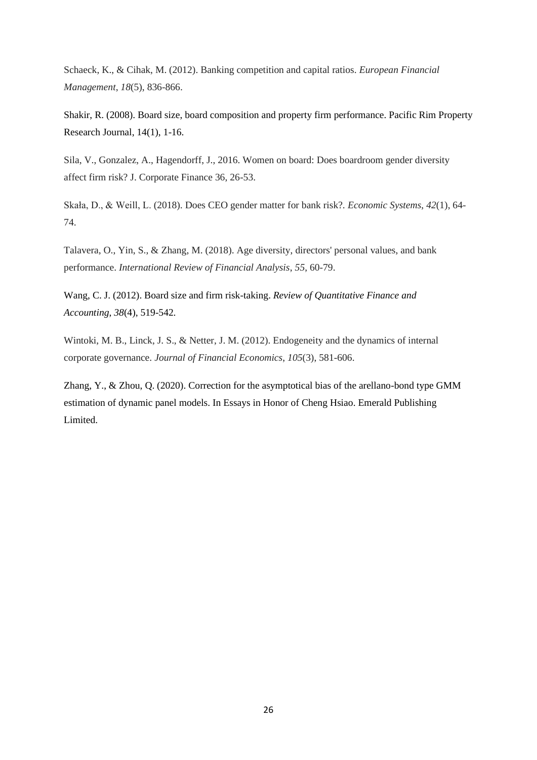Schaeck, K., & Cihak, M. (2012). Banking competition and capital ratios. *European Financial Management*, *18*(5), 836-866.

Shakir, R. (2008). Board size, board composition and property firm performance. Pacific Rim Property Research Journal, 14(1), 1-16.

Sila, V., Gonzalez, A., Hagendorff, J., 2016. Women on board: Does boardroom gender diversity affect firm risk? J. Corporate Finance 36, 26-53.

Skała, D., & Weill, L. (2018). Does CEO gender matter for bank risk?. *Economic Systems*, *42*(1), 64- 74.

Talavera, O., Yin, S., & Zhang, M. (2018). Age diversity, directors' personal values, and bank performance. *International Review of Financial Analysis*, *55*, 60-79.

Wang, C. J. (2012). Board size and firm risk-taking. *Review of Quantitative Finance and Accounting*, *38*(4), 519-542.

Wintoki, M. B., Linck, J. S., & Netter, J. M. (2012). Endogeneity and the dynamics of internal corporate governance. *Journal of Financial Economics*, *105*(3), 581-606.

<span id="page-25-0"></span>Zhang, Y., & Zhou, Q. (2020). Correction for the asymptotical bias of the arellano-bond type GMM estimation of dynamic panel models. In Essays in Honor of Cheng Hsiao. Emerald Publishing Limited.